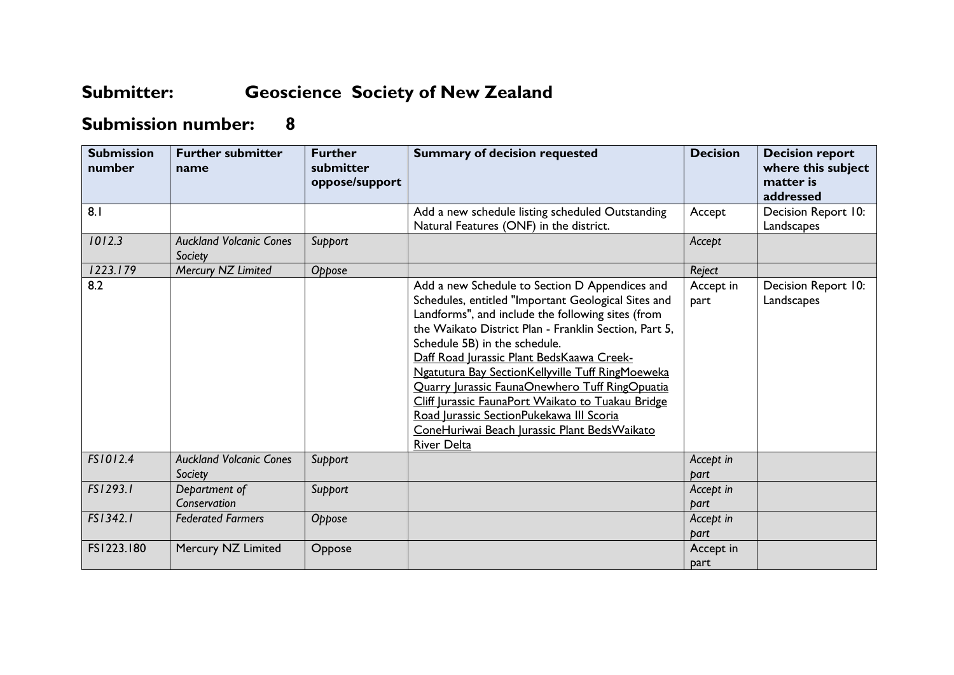## **Submitter: Geoscience Society of New Zealand**

## **Submission number: 8**

| <b>Submission</b><br>number | <b>Further submitter</b><br>name          | <b>Further</b><br>submitter<br>oppose/support | <b>Summary of decision requested</b>                                                                                                                                                                                                                                                                                                                                                                                                                                                                                                                                            | <b>Decision</b>   | <b>Decision report</b><br>where this subject<br>matter is<br>addressed |
|-----------------------------|-------------------------------------------|-----------------------------------------------|---------------------------------------------------------------------------------------------------------------------------------------------------------------------------------------------------------------------------------------------------------------------------------------------------------------------------------------------------------------------------------------------------------------------------------------------------------------------------------------------------------------------------------------------------------------------------------|-------------------|------------------------------------------------------------------------|
| 8.1                         |                                           |                                               | Add a new schedule listing scheduled Outstanding<br>Natural Features (ONF) in the district.                                                                                                                                                                                                                                                                                                                                                                                                                                                                                     | Accept            | Decision Report 10:<br>Landscapes                                      |
| 1012.3                      | <b>Auckland Volcanic Cones</b><br>Society | Support                                       |                                                                                                                                                                                                                                                                                                                                                                                                                                                                                                                                                                                 | Accept            |                                                                        |
| 1223.179                    | Mercury NZ Limited                        | Oppose                                        |                                                                                                                                                                                                                                                                                                                                                                                                                                                                                                                                                                                 | Reject            |                                                                        |
| 8.2                         |                                           |                                               | Add a new Schedule to Section D Appendices and<br>Schedules, entitled "Important Geological Sites and<br>Landforms", and include the following sites (from<br>the Waikato District Plan - Franklin Section, Part 5,<br>Schedule 5B) in the schedule.<br>Daff Road Jurassic Plant BedsKaawa Creek-<br>Ngatutura Bay SectionKellyville Tuff RingMoeweka<br>Quarry Jurassic FaunaOnewhero Tuff RingOpuatia<br>Cliff Jurassic FaunaPort Waikato to Tuakau Bridge<br>Road Jurassic SectionPukekawa III Scoria<br>ConeHuriwai Beach Jurassic Plant Beds Waikato<br><b>River Delta</b> | Accept in<br>part | Decision Report 10:<br>Landscapes                                      |
| FS1012.4                    | <b>Auckland Volcanic Cones</b><br>Society | Support                                       |                                                                                                                                                                                                                                                                                                                                                                                                                                                                                                                                                                                 | Accept in<br>part |                                                                        |
| FS1293.1                    | Department of                             | Support                                       |                                                                                                                                                                                                                                                                                                                                                                                                                                                                                                                                                                                 | Accept in         |                                                                        |
|                             | Conservation                              |                                               |                                                                                                                                                                                                                                                                                                                                                                                                                                                                                                                                                                                 | part              |                                                                        |
| FS1342.1                    | <b>Federated Farmers</b>                  | Oppose                                        |                                                                                                                                                                                                                                                                                                                                                                                                                                                                                                                                                                                 | Accept in<br>bart |                                                                        |
| FS1223.180                  | Mercury NZ Limited                        | Oppose                                        |                                                                                                                                                                                                                                                                                                                                                                                                                                                                                                                                                                                 | Accept in<br>part |                                                                        |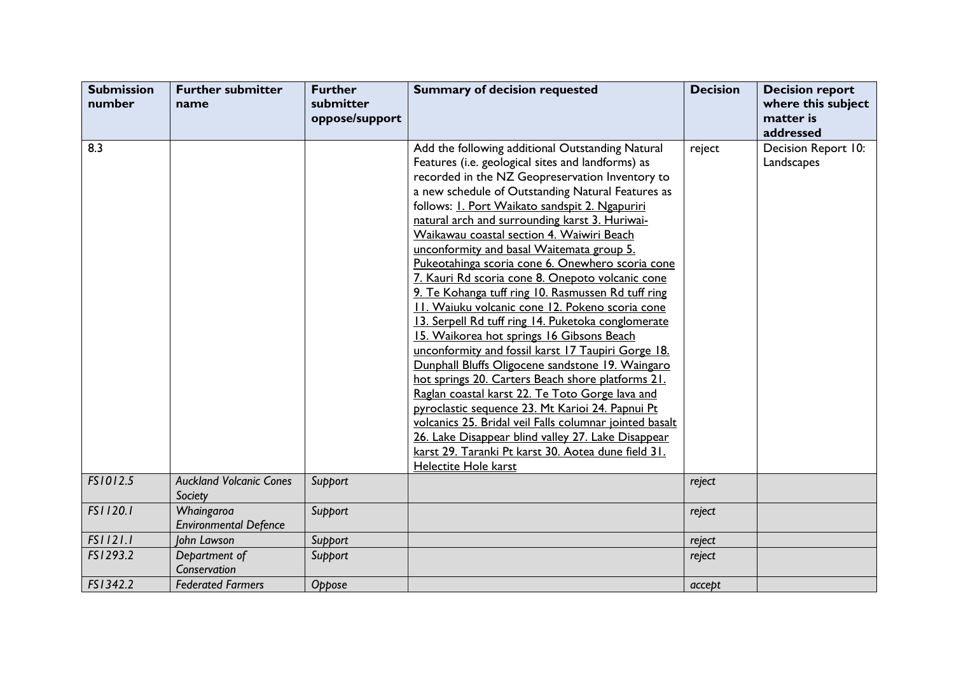| <b>Submission</b><br>number | <b>Further submitter</b><br>name           | <b>Further</b><br>submitter<br>oppose/support | <b>Summary of decision requested</b>                                                                                                                                                                                                                                                                                                                                                                                                                                                                                                                                                                                                                                                                                                                                                                                                                                                                                                                                                                                                                                                                                                                                                                         | <b>Decision</b> | <b>Decision report</b><br>where this subject<br>matter is |
|-----------------------------|--------------------------------------------|-----------------------------------------------|--------------------------------------------------------------------------------------------------------------------------------------------------------------------------------------------------------------------------------------------------------------------------------------------------------------------------------------------------------------------------------------------------------------------------------------------------------------------------------------------------------------------------------------------------------------------------------------------------------------------------------------------------------------------------------------------------------------------------------------------------------------------------------------------------------------------------------------------------------------------------------------------------------------------------------------------------------------------------------------------------------------------------------------------------------------------------------------------------------------------------------------------------------------------------------------------------------------|-----------------|-----------------------------------------------------------|
|                             |                                            |                                               |                                                                                                                                                                                                                                                                                                                                                                                                                                                                                                                                                                                                                                                                                                                                                                                                                                                                                                                                                                                                                                                                                                                                                                                                              |                 | addressed                                                 |
| 8.3                         |                                            |                                               | Add the following additional Outstanding Natural<br>Features (i.e. geological sites and landforms) as<br>recorded in the NZ Geopreservation Inventory to<br>a new schedule of Outstanding Natural Features as<br>follows: <i>I. Port Waikato sandspit 2. Ngapuriri</i><br>natural arch and surrounding karst 3. Huriwai-<br>Waikawau coastal section 4. Waiwiri Beach<br>unconformity and basal Waitemata group 5.<br>Pukeotahinga scoria cone 6. Onewhero scoria cone<br>7. Kauri Rd scoria cone 8. Onepoto volcanic cone<br>9. Te Kohanga tuff ring 10. Rasmussen Rd tuff ring<br>11. Waiuku volcanic cone 12. Pokeno scoria cone<br>13. Serpell Rd tuff ring 14. Puketoka conglomerate<br>15. Waikorea hot springs 16 Gibsons Beach<br>unconformity and fossil karst 17 Taupiri Gorge 18.<br>Dunphall Bluffs Oligocene sandstone 19. Waingaro<br>hot springs 20. Carters Beach shore platforms 21.<br>Raglan coastal karst 22. Te Toto Gorge lava and<br>pyroclastic sequence 23. Mt Karioi 24. Papnui Pt<br>volcanics 25. Bridal veil Falls columnar jointed basalt<br>26. Lake Disappear blind valley 27. Lake Disappear<br>karst 29. Taranki Pt karst 30. Aotea dune field 31.<br>Helectite Hole karst | reject          | Decision Report 10:<br>Landscapes                         |
| FS1012.5                    | <b>Auckland Volcanic Cones</b><br>Society  | Support                                       |                                                                                                                                                                                                                                                                                                                                                                                                                                                                                                                                                                                                                                                                                                                                                                                                                                                                                                                                                                                                                                                                                                                                                                                                              | reject          |                                                           |
| FS1120.1                    | Whaingaroa<br><b>Environmental Defence</b> | Support                                       |                                                                                                                                                                                                                                                                                                                                                                                                                                                                                                                                                                                                                                                                                                                                                                                                                                                                                                                                                                                                                                                                                                                                                                                                              | reject          |                                                           |
| FS1121.1                    | John Lawson                                | Support                                       |                                                                                                                                                                                                                                                                                                                                                                                                                                                                                                                                                                                                                                                                                                                                                                                                                                                                                                                                                                                                                                                                                                                                                                                                              | reject          |                                                           |
| FS1293.2                    | Department of<br>Conservation              | Support                                       |                                                                                                                                                                                                                                                                                                                                                                                                                                                                                                                                                                                                                                                                                                                                                                                                                                                                                                                                                                                                                                                                                                                                                                                                              | reject          |                                                           |
| FS1342.2                    | <b>Federated Farmers</b>                   | Oppose                                        |                                                                                                                                                                                                                                                                                                                                                                                                                                                                                                                                                                                                                                                                                                                                                                                                                                                                                                                                                                                                                                                                                                                                                                                                              | accept          |                                                           |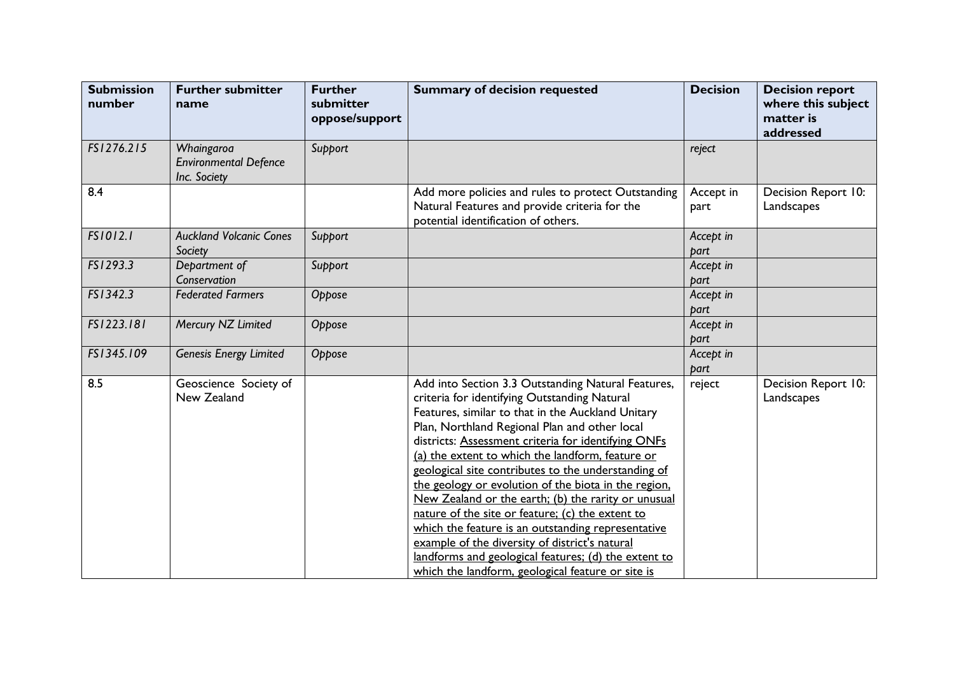| <b>Submission</b><br>number | <b>Further submitter</b><br>name                           | <b>Further</b><br>submitter<br>oppose/support | <b>Summary of decision requested</b>                                                                                                                                                                                                                                                                                                                                                                                                                                                                                                                                                                                                                                                                                                                               | <b>Decision</b>   | <b>Decision report</b><br>where this subject<br>matter is<br>addressed |
|-----------------------------|------------------------------------------------------------|-----------------------------------------------|--------------------------------------------------------------------------------------------------------------------------------------------------------------------------------------------------------------------------------------------------------------------------------------------------------------------------------------------------------------------------------------------------------------------------------------------------------------------------------------------------------------------------------------------------------------------------------------------------------------------------------------------------------------------------------------------------------------------------------------------------------------------|-------------------|------------------------------------------------------------------------|
| FS1276.215                  | Whaingaroa<br><b>Environmental Defence</b><br>Inc. Society | Support                                       |                                                                                                                                                                                                                                                                                                                                                                                                                                                                                                                                                                                                                                                                                                                                                                    | reject            |                                                                        |
| 8.4                         |                                                            |                                               | Add more policies and rules to protect Outstanding<br>Natural Features and provide criteria for the<br>potential identification of others.                                                                                                                                                                                                                                                                                                                                                                                                                                                                                                                                                                                                                         | Accept in<br>part | Decision Report 10:<br>Landscapes                                      |
| FS1012.1                    | <b>Auckland Volcanic Cones</b><br>Society                  | Support                                       |                                                                                                                                                                                                                                                                                                                                                                                                                                                                                                                                                                                                                                                                                                                                                                    | Accept in<br>part |                                                                        |
| FS1293.3                    | Department of<br>Conservation                              | Support                                       |                                                                                                                                                                                                                                                                                                                                                                                                                                                                                                                                                                                                                                                                                                                                                                    | Accept in<br>part |                                                                        |
| FS1342.3                    | <b>Federated Farmers</b>                                   | Oppose                                        |                                                                                                                                                                                                                                                                                                                                                                                                                                                                                                                                                                                                                                                                                                                                                                    | Accept in<br>part |                                                                        |
| FS1223.181                  | Mercury NZ Limited                                         | Oppose                                        |                                                                                                                                                                                                                                                                                                                                                                                                                                                                                                                                                                                                                                                                                                                                                                    | Accept in<br>part |                                                                        |
| FS1345.109                  | <b>Genesis Energy Limited</b>                              | Oppose                                        |                                                                                                                                                                                                                                                                                                                                                                                                                                                                                                                                                                                                                                                                                                                                                                    | Accept in<br>part |                                                                        |
| 8.5                         | Geoscience Society of<br>New Zealand                       |                                               | Add into Section 3.3 Outstanding Natural Features,<br>criteria for identifying Outstanding Natural<br>Features, similar to that in the Auckland Unitary<br>Plan, Northland Regional Plan and other local<br>districts: Assessment criteria for identifying ONFs<br>(a) the extent to which the landform, feature or<br>geological site contributes to the understanding of<br>the geology or evolution of the biota in the region,<br>New Zealand or the earth; (b) the rarity or unusual<br>nature of the site or feature; (c) the extent to<br>which the feature is an outstanding representative<br>example of the diversity of district's natural<br>landforms and geological features; (d) the extent to<br>which the landform, geological feature or site is | reject            | Decision Report 10:<br>Landscapes                                      |